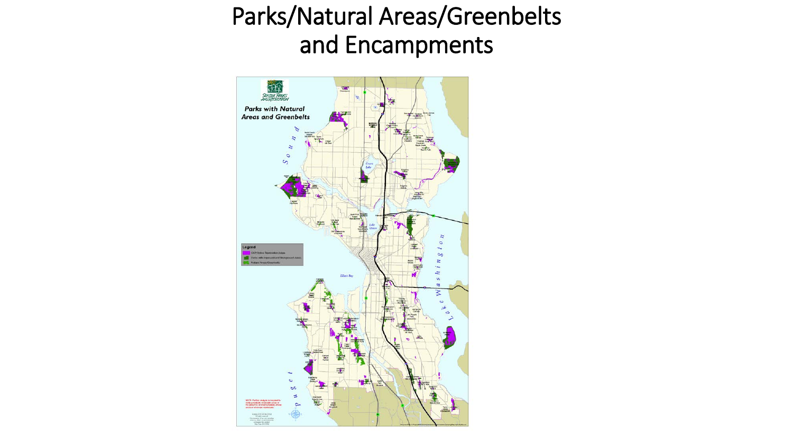### Parks/Natural Areas/Greenbelts and Encampments

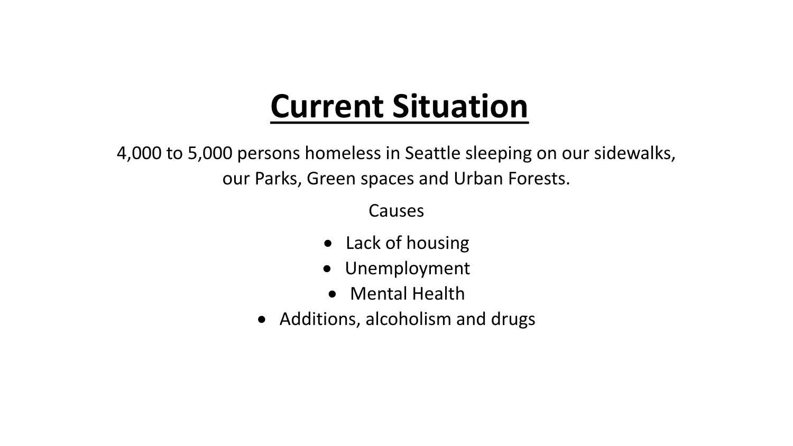# **Current Situation**

4,000 to 5,000 persons homeless in Seattle sleeping on our sidewalks, our Parks, Green spaces and Urban Forests.

Causes

- Lack of housing
- Unemployment
- Mental Health
- Additions, alcoholism and drugs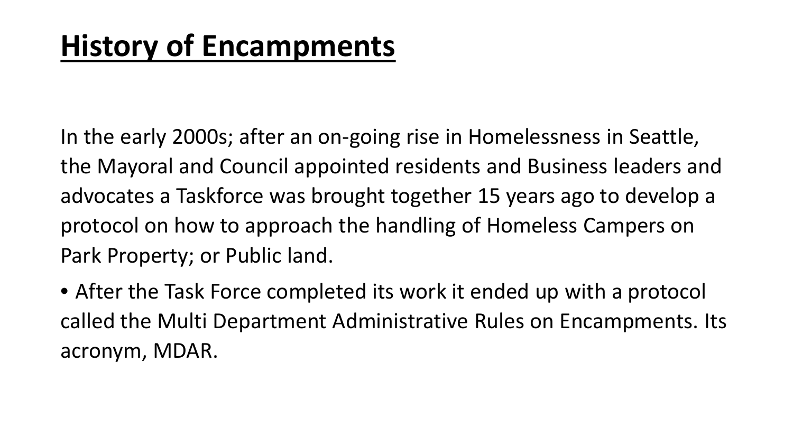In the early 2000s; after an on-going rise in Homelessness in Seattle, the Mayoral and Council appointed residents and Business leaders and advocates a Taskforce was brought together 15 years ago to develop a protocol on how to approach the handling of Homeless Campers on Park Property; or Public land.

• After the Task Force completed its work it ended up with a protocol called the Multi Department Administrative Rules on Encampments. Its acronym, MDAR.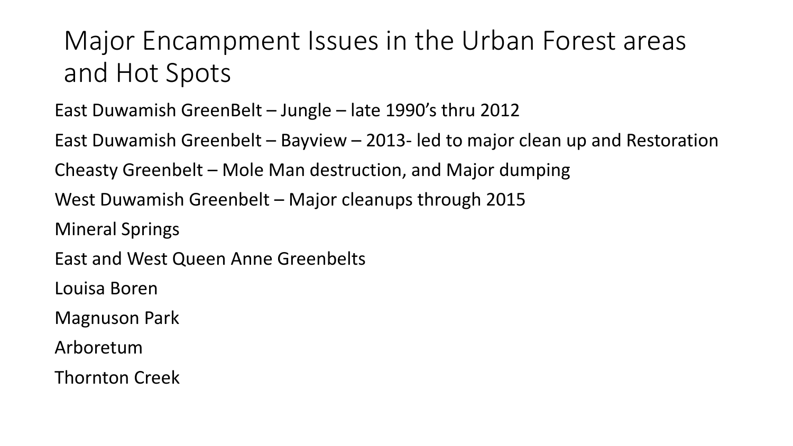## Major Encampment Issues in the Urban Forest areas and Hot Spots

#### East Duwamish GreenBelt – Jungle – late 1990's thru 2012

East Duwamish Greenbelt – Bayview – 2013- led to major clean up and Restoration

Cheasty Greenbelt – Mole Man destruction, and Major dumping

West Duwamish Greenbelt – Major cleanups through 2015

Mineral Springs

East and West Queen Anne Greenbelts

Louisa Boren

Magnuson Park

Arboretum

Thornton Creek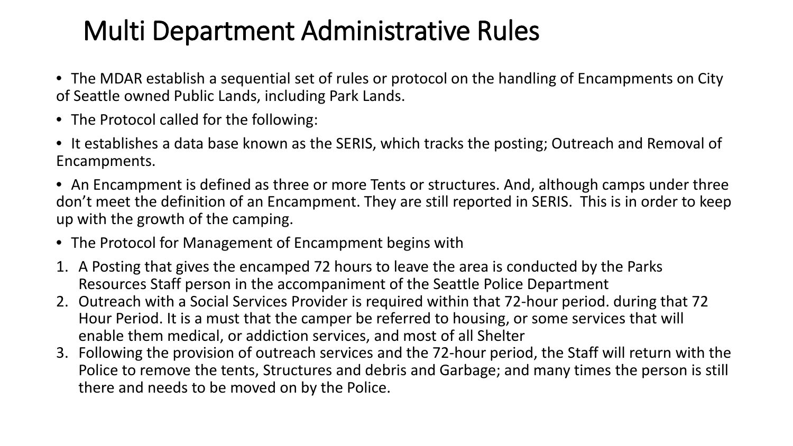### Multi Department Administrative Rules

- The MDAR establish a sequential set of rules or protocol on the handling of Encampments on City of Seattle owned Public Lands, including Park Lands.
- The Protocol called for the following:
- It establishes a data base known as the SERIS, which tracks the posting; Outreach and Removal of Encampments.
- An Encampment is defined as three or more Tents or structures. And, although camps under three don't meet the definition of an Encampment. They are still reported in SERIS. This is in order to keep up with the growth of the camping.
- The Protocol for Management of Encampment begins with
- 1. A Posting that gives the encamped 72 hours to leave the area is conducted by the Parks Resources Staff person in the accompaniment of the Seattle Police Department
- 2. Outreach with a Social Services Provider is required within that 72-hour period. during that 72 Hour Period. It is a must that the camper be referred to housing, or some services that will enable them medical, or addiction services, and most of all Shelter
- 3. Following the provision of outreach services and the 72-hour period, the Staff will return with the Police to remove the tents, Structures and debris and Garbage; and many times the person is still there and needs to be moved on by the Police.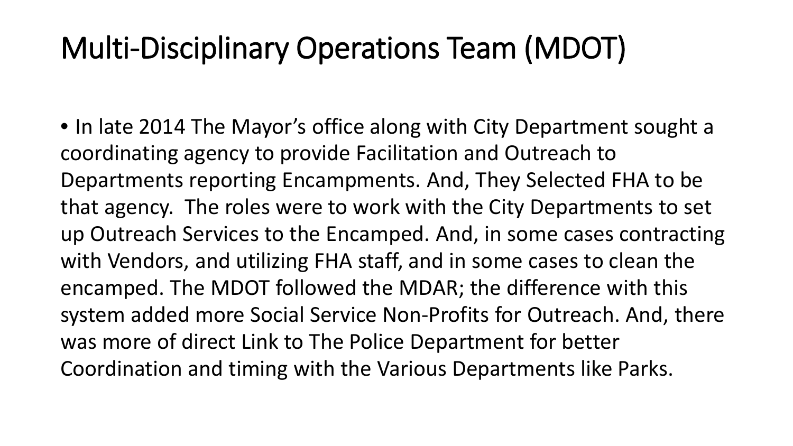## Multi-Disciplinary Operations Team (MDOT)

• In late 2014 The Mayor's office along with City Department sought a coordinating agency to provide Facilitation and Outreach to Departments reporting Encampments. And, They Selected FHA to be that agency. The roles were to work with the City Departments to set up Outreach Services to the Encamped. And, in some cases contracting with Vendors, and utilizing FHA staff, and in some cases to clean the encamped. The MDOT followed the MDAR; the difference with this system added more Social Service Non-Profits for Outreach. And, there was more of direct Link to The Police Department for better Coordination and timing with the Various Departments like Parks.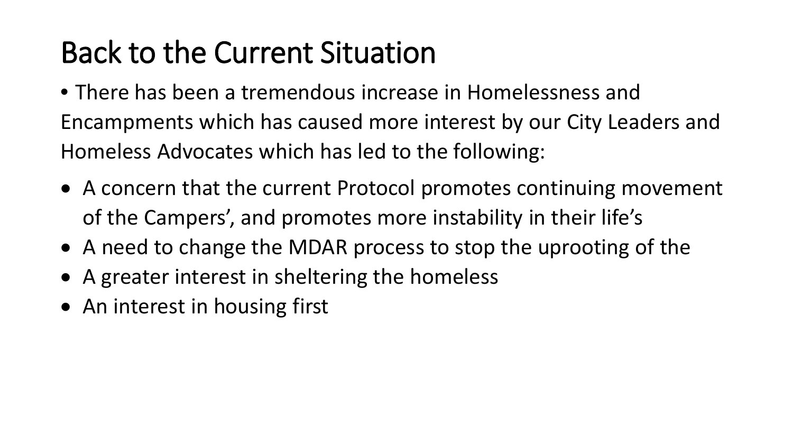# Back to the Current Situation

- There has been a tremendous increase in Homelessness and Encampments which has caused more interest by our City Leaders and Homeless Advocates which has led to the following:
- A concern that the current Protocol promotes continuing movement of the Campers', and promotes more instability in their life's
- A need to change the MDAR process to stop the uprooting of the
- A greater interest in sheltering the homeless
- An interest in housing first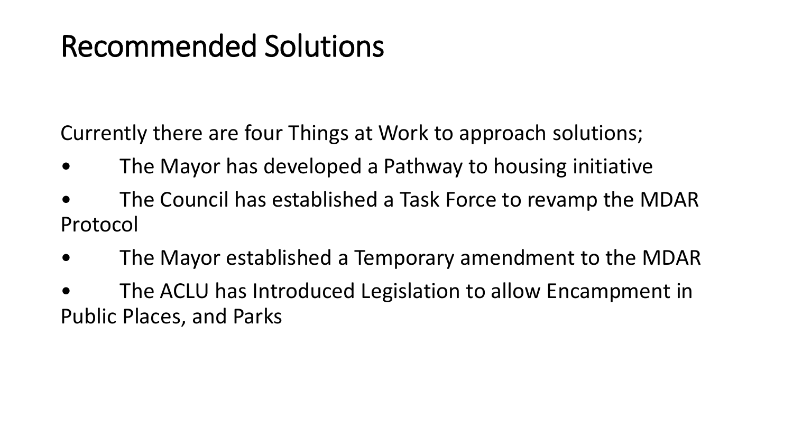## Recommended Solutions

Currently there are four Things at Work to approach solutions;

- The Mayor has developed a Pathway to housing initiative
- The Council has established a Task Force to revamp the MDAR Protocol
- The Mayor established a Temporary amendment to the MDAR
- The ACLU has Introduced Legislation to allow Encampment in Public Places, and Parks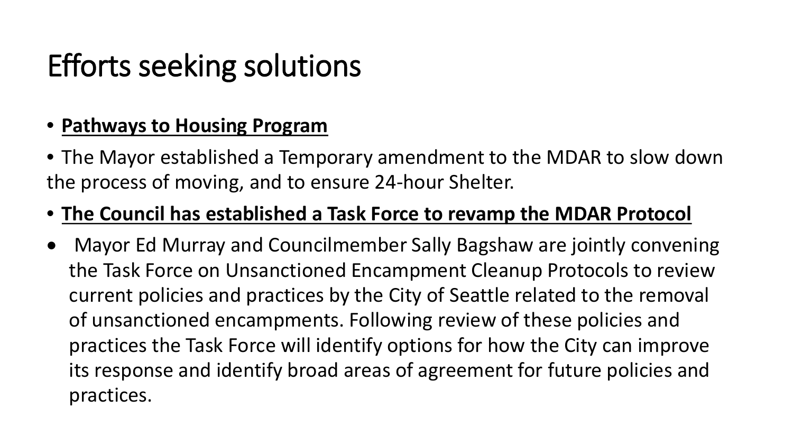# Efforts seeking solutions

#### • **Pathways to Housing Program**

• The Mayor established a Temporary amendment to the MDAR to slow down the process of moving, and to ensure 24-hour Shelter.

#### • **The Council has established a Task Force to revamp the MDAR Protocol**

• Mayor Ed Murray and Councilmember Sally Bagshaw are jointly convening the Task Force on Unsanctioned Encampment Cleanup Protocols to review current policies and practices by the City of Seattle related to the removal of unsanctioned encampments. Following review of these policies and practices the Task Force will identify options for how the City can improve its response and identify broad areas of agreement for future policies and practices.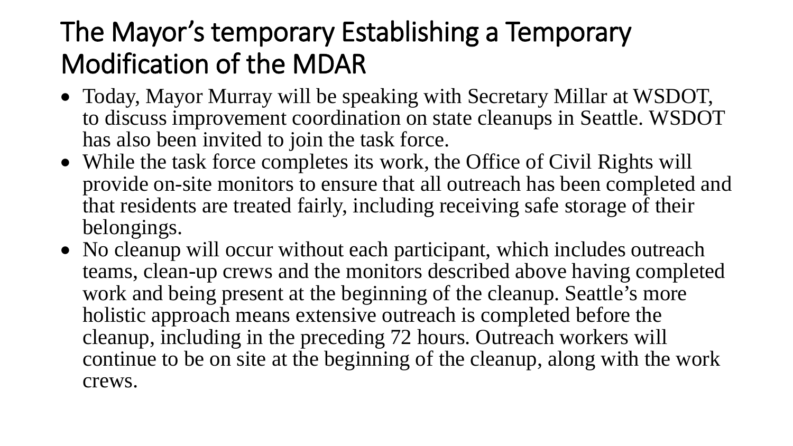## The Mayor's temporary Establishing a Temporary Modification of the MDAR

- Today, Mayor Murray will be speaking with Secretary Millar at WSDOT, to discuss improvement coordination on state cleanups in Seattle. WSDOT has also been invited to join the task force.
- While the task force completes its work, the Office of Civil Rights will provide on-site monitors to ensure that all outreach has been completed and that residents are treated fairly, including receiving safe storage of their belongings.
- No cleanup will occur without each participant, which includes outreach teams, clean-up crews and the monitors described above having completed work and being present at the beginning of the cleanup. Seattle's more holistic approach means extensive outreach is completed before the cleanup, including in the preceding 72 hours. Outreach workers will continue to be on site at the beginning of the cleanup, along with the work crews.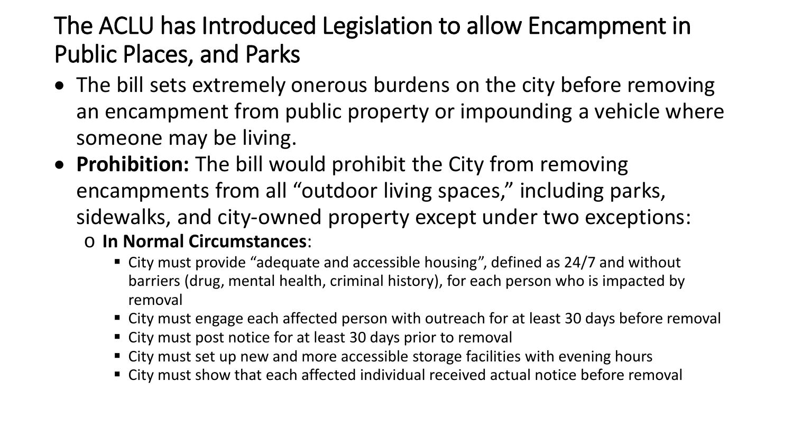#### The ACLU has Introduced Legislation to allow Encampment in Public Places, and Parks

- The bill sets extremely onerous burdens on the city before removing an encampment from public property or impounding a vehicle where someone may be living.
- **Prohibition:** The bill would prohibit the City from removing encampments from all "outdoor living spaces," including parks, sidewalks, and city-owned property except under two exceptions:
	- o **In Normal Circumstances**:
		- City must provide "adequate and accessible housing", defined as 24/7 and without barriers (drug, mental health, criminal history), for each person who is impacted by removal
		- City must engage each affected person with outreach for at least 30 days before removal
		- City must post notice for at least 30 days prior to removal
		- City must set up new and more accessible storage facilities with evening hours
		- City must show that each affected individual received actual notice before removal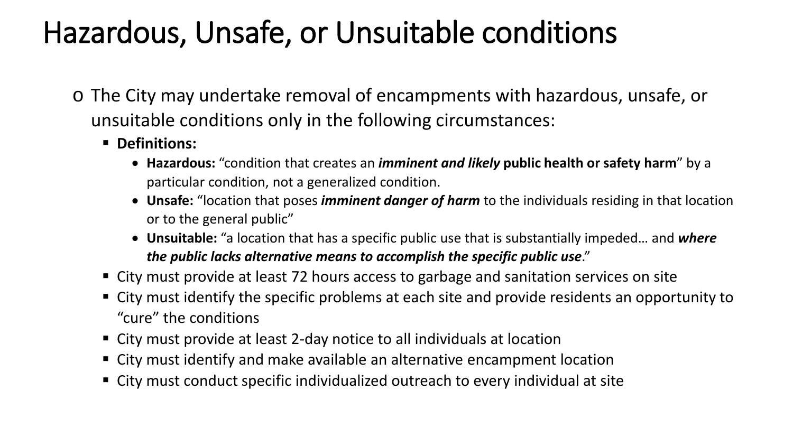## Hazardous, Unsafe, or Unsuitable conditions

- o The City may undertake removal of encampments with hazardous, unsafe, or unsuitable conditions only in the following circumstances:
	- **Definitions:**
		- **Hazardous:** "condition that creates an *imminent and likely* **public health or safety harm**" by a particular condition, not a generalized condition.
		- **Unsafe:** "location that poses *imminent danger of harm* to the individuals residing in that location or to the general public"
		- **Unsuitable:** "a location that has a specific public use that is substantially impeded… and *where the public lacks alternative means to accomplish the specific public use*."
	- City must provide at least 72 hours access to garbage and sanitation services on site
	- City must identify the specific problems at each site and provide residents an opportunity to "cure" the conditions
	- City must provide at least 2-day notice to all individuals at location
	- City must identify and make available an alternative encampment location
	- City must conduct specific individualized outreach to every individual at site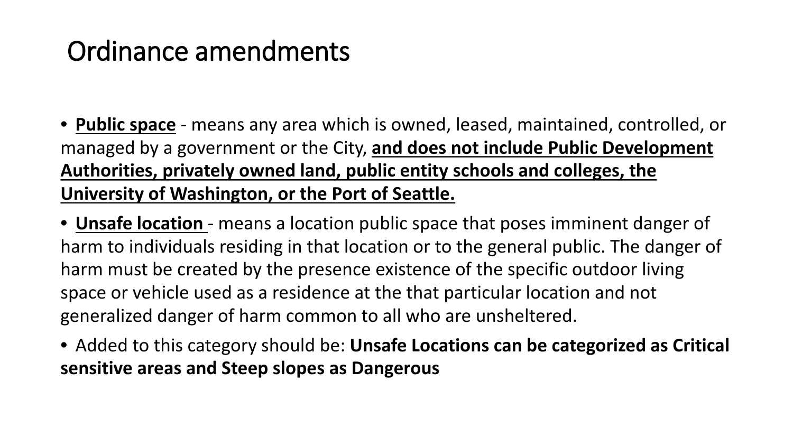## Ordinance amendments

- **Public space** means any area which is owned, leased, maintained, controlled, or managed by a government or the City, **and does not include Public Development Authorities, privately owned land, public entity schools and colleges, the University of Washington, or the Port of Seattle.**
- **Unsafe location**  means a location public space that poses imminent danger of harm to individuals residing in that location or to the general public. The danger of harm must be created by the presence existence of the specific outdoor living space or vehicle used as a residence at the that particular location and not generalized danger of harm common to all who are unsheltered.
- Added to this category should be: **Unsafe Locations can be categorized as Critical sensitive areas and Steep slopes as Dangerous**